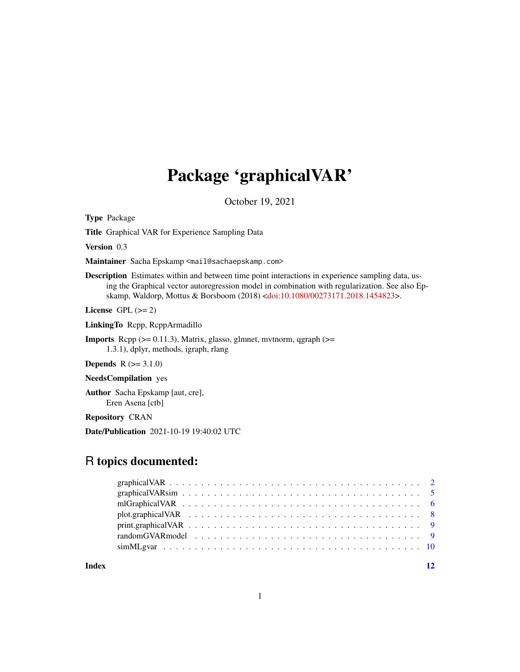## Package 'graphicalVAR'

October 19, 2021

<span id="page-0-0"></span>Type Package

Title Graphical VAR for Experience Sampling Data

Version 0.3

Maintainer Sacha Epskamp <mail@sachaepskamp.com>

Description Estimates within and between time point interactions in experience sampling data, using the Graphical vector autoregression model in combination with regularization. See also Epskamp, Waldorp, Mottus & Borsboom (2018) [<doi:10.1080/00273171.2018.1454823>](https://doi.org/10.1080/00273171.2018.1454823).

License GPL  $(>= 2)$ 

LinkingTo Rcpp, RcppArmadillo

**Imports** Rcpp  $(>= 0.11.3)$ , Matrix, glasso, glmnet, mvtnorm, qgraph  $(>= 0.11.3)$ 1.3.1), dplyr, methods, igraph, rlang

**Depends**  $R$  ( $>= 3.1.0$ )

NeedsCompilation yes

Author Sacha Epskamp [aut, cre], Eren Asena [ctb]

Repository CRAN

Date/Publication 2021-10-19 19:40:02 UTC

### R topics documented:

**Index** [12](#page-11-0)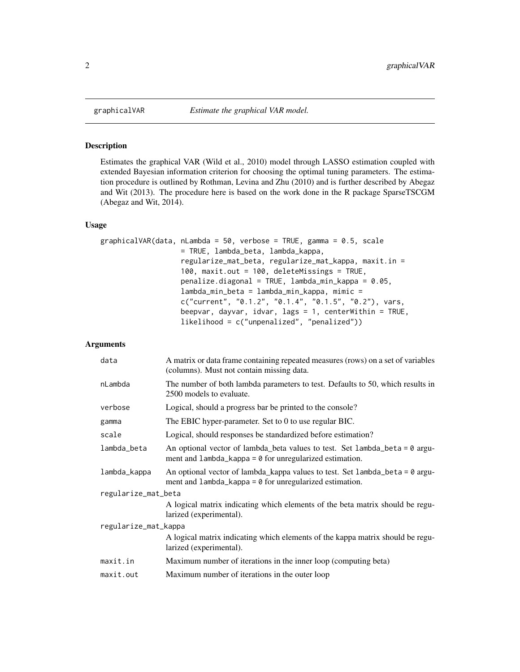<span id="page-1-1"></span><span id="page-1-0"></span>

#### Description

Estimates the graphical VAR (Wild et al., 2010) model through LASSO estimation coupled with extended Bayesian information criterion for choosing the optimal tuning parameters. The estimation procedure is outlined by Rothman, Levina and Zhu (2010) and is further described by Abegaz and Wit (2013). The procedure here is based on the work done in the R package SparseTSCGM (Abegaz and Wit, 2014).

#### Usage

```
graphicalVAR(data, nLambda = 50, verbose = TRUE, gamma = 0.5, scale
                   = TRUE, lambda_beta, lambda_kappa,
                   regularize_mat_beta, regularize_mat_kappa, maxit.in =
                   100, maxit.out = 100, deleteMissings = TRUE,
                   penalize.diagonal = TRUE, lambda_min_kappa = 0.05,
                   lambda_min_beta = lambda_min_kappa, mimic =
                   c("current", "0.1.2", "0.1.4", "0.1.5", "0.2"), vars,
                   beepvar, dayvar, idvar, lags = 1, centerWithin = TRUE,
                   likelihood = c("unpenalized", "penalized"))
```
#### Arguments

| A matrix or data frame containing repeated measures (rows) on a set of variables<br>(columns). Must not contain missing data.                       |  |  |
|-----------------------------------------------------------------------------------------------------------------------------------------------------|--|--|
| The number of both lambda parameters to test. Defaults to 50, which results in<br>2500 models to evaluate.                                          |  |  |
| Logical, should a progress bar be printed to the console?                                                                                           |  |  |
| The EBIC hyper-parameter. Set to 0 to use regular BIC.                                                                                              |  |  |
| Logical, should responses be standardized before estimation?                                                                                        |  |  |
| An optional vector of lambda_beta values to test. Set $l$ ambda_beta = 0 argu-<br>ment and $l$ ambda_kappa = $\theta$ for unregularized estimation. |  |  |
| An optional vector of lambda_kappa values to test. Set lambda_beta = 0 argu-<br>ment and $l$ ambda_kappa = $\theta$ for unregularized estimation.   |  |  |
| regularize_mat_beta                                                                                                                                 |  |  |
| A logical matrix indicating which elements of the beta matrix should be regu-<br>larized (experimental).                                            |  |  |
| regularize_mat_kappa                                                                                                                                |  |  |
| A logical matrix indicating which elements of the kappa matrix should be regu-<br>larized (experimental).                                           |  |  |
| Maximum number of iterations in the inner loop (computing beta)                                                                                     |  |  |
| Maximum number of iterations in the outer loop                                                                                                      |  |  |
|                                                                                                                                                     |  |  |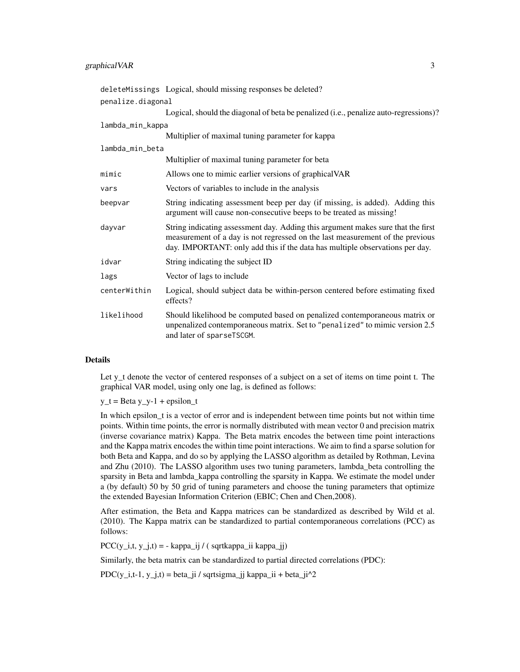|                   | deleteMissings Logical, should missing responses be deleted?                                                                                                                                                                                      |
|-------------------|---------------------------------------------------------------------------------------------------------------------------------------------------------------------------------------------------------------------------------------------------|
| penalize.diagonal |                                                                                                                                                                                                                                                   |
|                   | Logical, should the diagonal of beta be penalized (i.e., penalize auto-regressions)?                                                                                                                                                              |
| lambda_min_kappa  |                                                                                                                                                                                                                                                   |
|                   | Multiplier of maximal tuning parameter for kappa                                                                                                                                                                                                  |
| lambda_min_beta   |                                                                                                                                                                                                                                                   |
|                   | Multiplier of maximal tuning parameter for beta                                                                                                                                                                                                   |
| mimic             | Allows one to mimic earlier versions of graphical VAR                                                                                                                                                                                             |
| vars              | Vectors of variables to include in the analysis                                                                                                                                                                                                   |
| beepvar           | String indicating assessment beep per day (if missing, is added). Adding this<br>argument will cause non-consecutive beeps to be treated as missing!                                                                                              |
| dayvar            | String indicating assessment day. Adding this argument makes sure that the first<br>measurement of a day is not regressed on the last measurement of the previous<br>day. IMPORTANT: only add this if the data has multiple observations per day. |
| idvar             | String indicating the subject ID                                                                                                                                                                                                                  |
| lags              | Vector of lags to include                                                                                                                                                                                                                         |
| centerWithin      | Logical, should subject data be within-person centered before estimating fixed<br>effects?                                                                                                                                                        |
| likelihood        | Should likelihood be computed based on penalized contemporaneous matrix or<br>unpenalized contemporaneous matrix. Set to "penalized" to mimic version 2.5<br>and later of sparseTSCGM.                                                            |

#### Details

Let y<sub>\_t</sub> denote the vector of centered responses of a subject on a set of items on time point t. The graphical VAR model, using only one lag, is defined as follows:

 $y_t = Beta y_y - 1 + epsilon_t$ 

In which epsilon\_t is a vector of error and is independent between time points but not within time points. Within time points, the error is normally distributed with mean vector 0 and precision matrix (inverse covariance matrix) Kappa. The Beta matrix encodes the between time point interactions and the Kappa matrix encodes the within time point interactions. We aim to find a sparse solution for both Beta and Kappa, and do so by applying the LASSO algorithm as detailed by Rothman, Levina and Zhu (2010). The LASSO algorithm uses two tuning parameters, lambda\_beta controlling the sparsity in Beta and lambda\_kappa controlling the sparsity in Kappa. We estimate the model under a (by default) 50 by 50 grid of tuning parameters and choose the tuning parameters that optimize the extended Bayesian Information Criterion (EBIC; Chen and Chen,2008).

After estimation, the Beta and Kappa matrices can be standardized as described by Wild et al. (2010). The Kappa matrix can be standardized to partial contemporaneous correlations (PCC) as follows:

 $PCC(y_i, t, y_j, t) = -kappa_j j / (sqrtkappa_p p_a_i i kappa_j j)$ 

Similarly, the beta matrix can be standardized to partial directed correlations (PDC):

PDC(y\_i,t-1, y\_j,t) = beta\_ji / sqrtsigma\_jj kappa\_ii + beta\_ji^2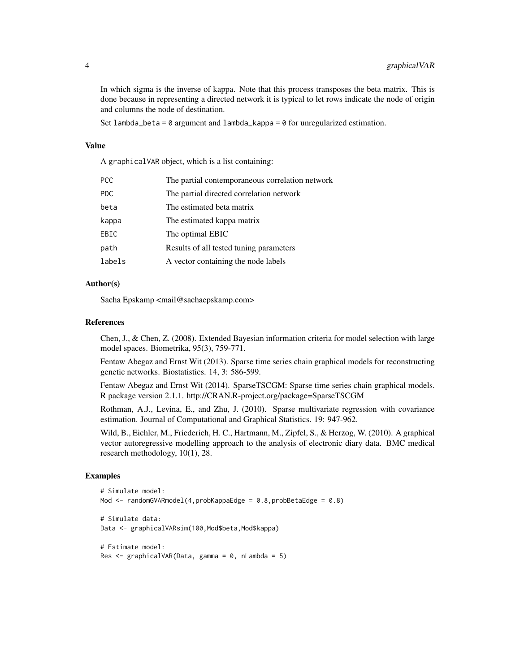In which sigma is the inverse of kappa. Note that this process transposes the beta matrix. This is done because in representing a directed network it is typical to let rows indicate the node of origin and columns the node of destination.

Set lambda\_beta =  $\theta$  argument and lambda\_kappa =  $\theta$  for unregularized estimation.

#### Value

A graphicalVAR object, which is a list containing:

| <b>PCC</b> | The partial contemporaneous correlation network |
|------------|-------------------------------------------------|
| <b>PDC</b> | The partial directed correlation network        |
| beta       | The estimated beta matrix                       |
| kappa      | The estimated kappa matrix                      |
| EBIC       | The optimal EBIC                                |
| path       | Results of all tested tuning parameters         |
| labels     | A vector containing the node labels             |

#### Author(s)

Sacha Epskamp <mail@sachaepskamp.com>

#### References

Chen, J., & Chen, Z. (2008). Extended Bayesian information criteria for model selection with large model spaces. Biometrika, 95(3), 759-771.

Fentaw Abegaz and Ernst Wit (2013). Sparse time series chain graphical models for reconstructing genetic networks. Biostatistics. 14, 3: 586-599.

Fentaw Abegaz and Ernst Wit (2014). SparseTSCGM: Sparse time series chain graphical models. R package version 2.1.1. http://CRAN.R-project.org/package=SparseTSCGM

Rothman, A.J., Levina, E., and Zhu, J. (2010). Sparse multivariate regression with covariance estimation. Journal of Computational and Graphical Statistics. 19: 947-962.

Wild, B., Eichler, M., Friederich, H. C., Hartmann, M., Zipfel, S., & Herzog, W. (2010). A graphical vector autoregressive modelling approach to the analysis of electronic diary data. BMC medical research methodology, 10(1), 28.

#### Examples

```
# Simulate model:
Mod \leq randomGVARmodel(4, probKappaEdge = 0.8, probBetaEdge = 0.8)
# Simulate data:
Data <- graphicalVARsim(100, Mod$beta, Mod$kappa)
# Estimate model:
Res \le- graphicalVAR(Data, gamma = 0, nLambda = 5)
```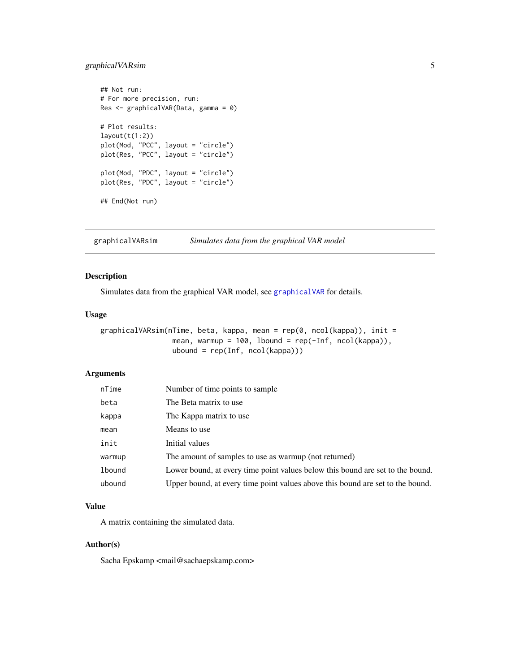#### <span id="page-4-0"></span>graphicalVARsim 5

```
## Not run:
# For more precision, run:
Res <- graphicalVAR(Data, gamma = 0)
# Plot results:
layout(t(1:2))
plot(Mod, "PCC", layout = "circle")
plot(Res, "PCC", layout = "circle")
plot(Mod, "PDC", layout = "circle")
plot(Res, "PDC", layout = "circle")
## End(Not run)
```
graphicalVARsim *Simulates data from the graphical VAR model*

#### Description

Simulates data from the graphical VAR model, see [graphicalVAR](#page-1-1) for details.

#### Usage

```
graphicalVARsim(nTime, beta, kappa, mean = rep(0, ncol(kappa)), init =
                mean, warmup = 100, lbound = rep(-Inf, ncol(kappa)),
                ubound = rep(Inf, ncol(kappa)))
```
#### Arguments

| nTime  | Number of time points to sample                                                |
|--------|--------------------------------------------------------------------------------|
| beta   | The Beta matrix to use                                                         |
| kappa  | The Kappa matrix to use                                                        |
| mean   | Means to use                                                                   |
| init   | Initial values                                                                 |
| warmup | The amount of samples to use as warmup (not returned)                          |
| lbound | Lower bound, at every time point values below this bound are set to the bound. |
| ubound | Upper bound, at every time point values above this bound are set to the bound. |

#### Value

A matrix containing the simulated data.

#### Author(s)

Sacha Epskamp <mail@sachaepskamp.com>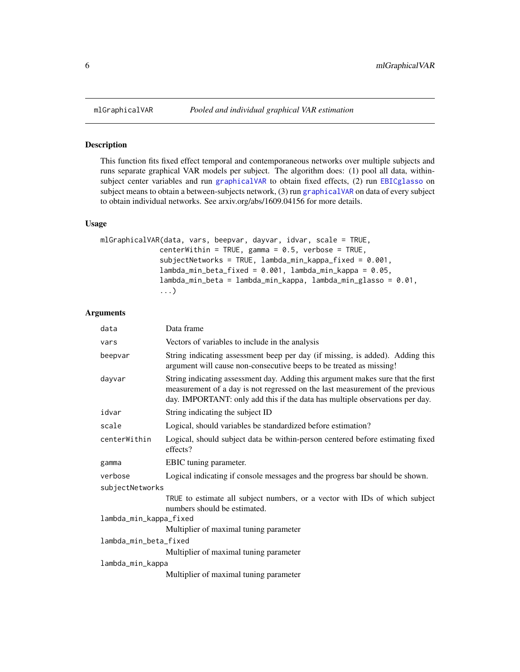#### Description

This function fits fixed effect temporal and contemporaneous networks over multiple subjects and runs separate graphical VAR models per subject. The algorithm does: (1) pool all data, withinsubject center variables and run [graphicalVAR](#page-1-1) to obtain fixed effects, (2) run [EBICglasso](#page-0-0) on subject means to obtain a between-subjects network, (3) run [graphicalVAR](#page-1-1) on data of every subject to obtain individual networks. See arxiv.org/abs/1609.04156 for more details.

#### Usage

```
mlGraphicalVAR(data, vars, beepvar, dayvar, idvar, scale = TRUE,
              centerWithin = TRUE, gamma = 0.5, verbose = TRUE,
              subjectNetworks = TRUE, lambda_min_kappa_fixed = 0.001,
              lambda_min_beta_fixed = 0.001, lambda_min_kappa = 0.05,
              lambda_min_beta = lambda_min_kappa, lambda_min_glasso = 0.01,
              ...)
```
#### Arguments

| data                   | Data frame                                                                                                                                                                                                                                        |  |
|------------------------|---------------------------------------------------------------------------------------------------------------------------------------------------------------------------------------------------------------------------------------------------|--|
| vars                   | Vectors of variables to include in the analysis                                                                                                                                                                                                   |  |
| beepvar                | String indicating assessment beep per day (if missing, is added). Adding this<br>argument will cause non-consecutive beeps to be treated as missing!                                                                                              |  |
| dayvar                 | String indicating assessment day. Adding this argument makes sure that the first<br>measurement of a day is not regressed on the last measurement of the previous<br>day. IMPORTANT: only add this if the data has multiple observations per day. |  |
| idvar                  | String indicating the subject ID                                                                                                                                                                                                                  |  |
| scale                  | Logical, should variables be standardized before estimation?                                                                                                                                                                                      |  |
| centerWithin           | Logical, should subject data be within-person centered before estimating fixed<br>effects?                                                                                                                                                        |  |
| gamma                  | EBIC tuning parameter.                                                                                                                                                                                                                            |  |
| verbose                | Logical indicating if console messages and the progress bar should be shown.                                                                                                                                                                      |  |
| subjectNetworks        |                                                                                                                                                                                                                                                   |  |
|                        | TRUE to estimate all subject numbers, or a vector with IDs of which subject<br>numbers should be estimated.                                                                                                                                       |  |
| lambda_min_kappa_fixed |                                                                                                                                                                                                                                                   |  |
|                        | Multiplier of maximal tuning parameter                                                                                                                                                                                                            |  |
| lambda_min_beta_fixed  |                                                                                                                                                                                                                                                   |  |
|                        | Multiplier of maximal tuning parameter                                                                                                                                                                                                            |  |
| lambda_min_kappa       |                                                                                                                                                                                                                                                   |  |
|                        | Multiplier of maximal tuning parameter                                                                                                                                                                                                            |  |
|                        |                                                                                                                                                                                                                                                   |  |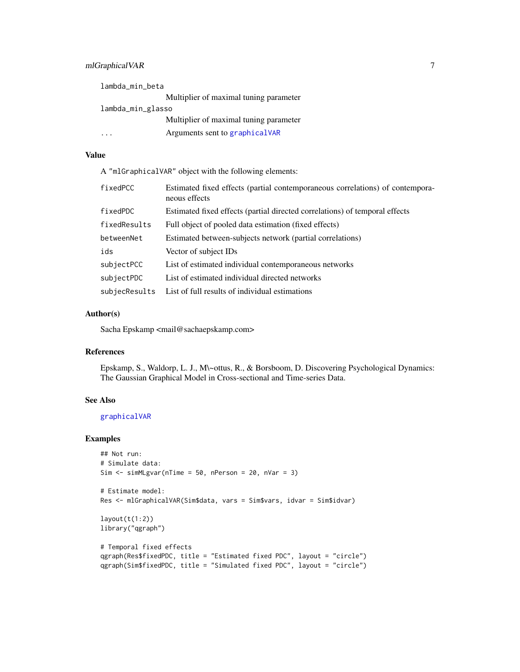#### <span id="page-6-0"></span>mlGraphicalVAR 7

| lambda_min_beta   |                                        |
|-------------------|----------------------------------------|
|                   | Multiplier of maximal tuning parameter |
| lambda_min_glasso |                                        |
|                   | Multiplier of maximal tuning parameter |
|                   | Arguments sent to graphicalVAR         |

#### Value

A "mlGraphicalVAR" object with the following elements:

| fixedPCC      | Estimated fixed effects (partial contemporaneous correlations) of contempora-<br>neous effects |
|---------------|------------------------------------------------------------------------------------------------|
| fixedPDC      | Estimated fixed effects (partial directed correlations) of temporal effects                    |
| fixedResults  | Full object of pooled data estimation (fixed effects)                                          |
| betweenNet    | Estimated between-subjects network (partial correlations)                                      |
| ids           | Vector of subject IDs                                                                          |
| subjectPCC    | List of estimated individual contemporaneous networks                                          |
| subjectPDC    | List of estimated individual directed networks                                                 |
| subjecResults | List of full results of individual estimations                                                 |

#### Author(s)

Sacha Epskamp <mail@sachaepskamp.com>

#### References

Epskamp, S., Waldorp, L. J., M\~ottus, R., & Borsboom, D. Discovering Psychological Dynamics: The Gaussian Graphical Model in Cross-sectional and Time-series Data.

#### See Also

#### [graphicalVAR](#page-1-1)

#### Examples

```
## Not run:
# Simulate data:
Sim \le simMLgvar(nTime = 50, nPerson = 20, nVar = 3)
# Estimate model:
Res <- mlGraphicalVAR(Sim$data, vars = Sim$vars, idvar = Sim$idvar)
layout(t(1:2))library("qgraph")
# Temporal fixed effects
qgraph(Res$fixedPDC, title = "Estimated fixed PDC", layout = "circle")
qgraph(Sim$fixedPDC, title = "Simulated fixed PDC", layout = "circle")
```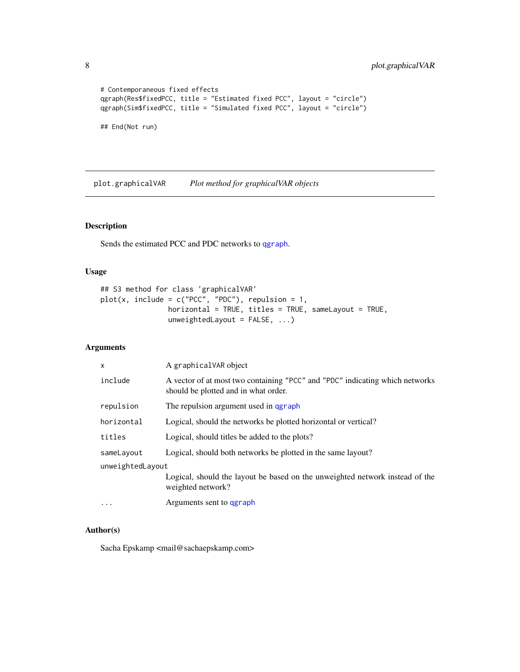```
# Contemporaneous fixed effects
qgraph(Res$fixedPCC, title = "Estimated fixed PCC", layout = "circle")
qgraph(Sim$fixedPCC, title = "Simulated fixed PCC", layout = "circle")
## End(Not run)
```
plot.graphicalVAR *Plot method for graphicalVAR objects*

#### Description

Sends the estimated PCC and PDC networks to [qgraph](#page-0-0).

#### Usage

## S3 method for class 'graphicalVAR'  $plot(x, include = c("PCC", "PDC"), repulsion = 1,$ horizontal = TRUE, titles = TRUE, sameLayout = TRUE, unweightedLayout = FALSE, ...)

#### Arguments

| $\times$         | A graphicalVAR object                                                                                                |  |
|------------------|----------------------------------------------------------------------------------------------------------------------|--|
| include          | A vector of at most two containing "PCC" and "PDC" indicating which networks<br>should be plotted and in what order. |  |
| repulsion        | The repulsion argument used in garaph                                                                                |  |
| horizontal       | Logical, should the networks be plotted horizontal or vertical?                                                      |  |
| titles           | Logical, should titles be added to the plots?                                                                        |  |
| sameLayout       | Logical, should both networks be plotted in the same layout?                                                         |  |
| unweightedLayout |                                                                                                                      |  |
|                  | Logical, should the layout be based on the unweighted network instead of the<br>weighted network?                    |  |
| .                | Arguments sent to ggraph                                                                                             |  |

#### Author(s)

Sacha Epskamp <mail@sachaepskamp.com>

<span id="page-7-0"></span>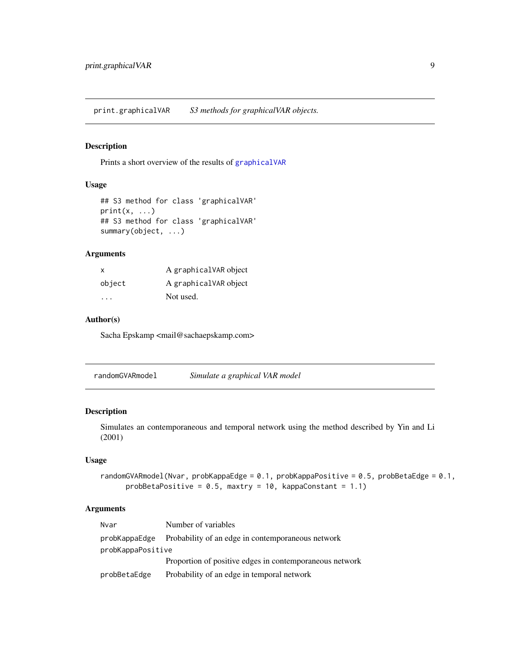<span id="page-8-0"></span>print.graphicalVAR *S3 methods for graphicalVAR objects.*

#### Description

Prints a short overview of the results of [graphicalVAR](#page-1-1)

#### Usage

```
## S3 method for class 'graphicalVAR'
print(x, \ldots)## S3 method for class 'graphicalVAR'
summary(object, ...)
```
#### Arguments

| X      | A graphicalVAR object |
|--------|-----------------------|
| object | A graphicalVAR object |
| .      | Not used.             |

#### Author(s)

Sacha Epskamp <mail@sachaepskamp.com>

randomGVARmodel *Simulate a graphical VAR model*

#### Description

Simulates an contemporaneous and temporal network using the method described by Yin and Li (2001)

#### Usage

randomGVARmodel(Nvar, probKappaEdge = 0.1, probKappaPositive = 0.5, probBetaEdge = 0.1, probBetaPositive =  $0.5$ , maxtry = 10, kappaConstant = 1.1)

#### Arguments

| Nvar              | Number of variables                                     |
|-------------------|---------------------------------------------------------|
| probKappaEdge     | Probability of an edge in contemporaneous network       |
| probKappaPositive |                                                         |
|                   | Proportion of positive edges in contemporaneous network |
| probBetaEdge      | Probability of an edge in temporal network              |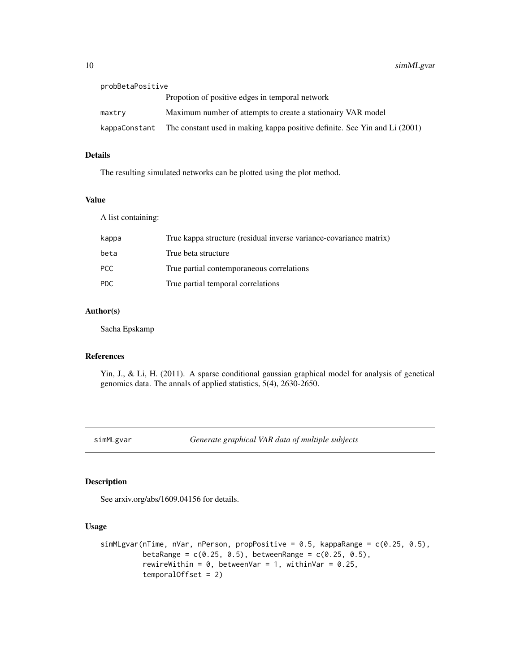<span id="page-9-0"></span>

| probBetaPositive |                                                                                          |
|------------------|------------------------------------------------------------------------------------------|
|                  | Propotion of positive edges in temporal network                                          |
| maxtry           | Maximum number of attempts to create a stationairy VAR model                             |
|                  | kappaConstant The constant used in making kappa positive definite. See Yin and Li (2001) |

#### Details

The resulting simulated networks can be plotted using the plot method.

#### Value

A list containing:

| kappa | True kappa structure (residual inverse variance-covariance matrix) |
|-------|--------------------------------------------------------------------|
| beta  | True beta structure                                                |
| PCC.  | True partial contemporaneous correlations                          |
| PDC.  | True partial temporal correlations                                 |

#### Author(s)

Sacha Epskamp

#### References

Yin, J., & Li, H. (2011). A sparse conditional gaussian graphical model for analysis of genetical genomics data. The annals of applied statistics, 5(4), 2630-2650.

simMLgvar *Generate graphical VAR data of multiple subjects*

#### Description

See arxiv.org/abs/1609.04156 for details.

#### Usage

```
simMLgvar(nTime, nVar, nPerson, propPositive = 0.5, kappaRange = c(0.25, 0.5),
         betaRange = c(0.25, 0.5), betweenRange = c(0.25, 0.5),
          rewireWithin = 0, betweenVar = 1, withinVar = 0.25,
          temporalOffset = 2)
```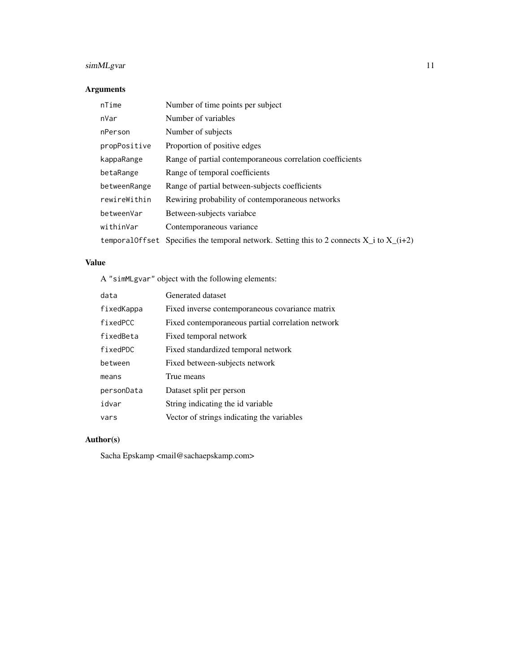#### simMLgvar 11

#### Arguments

| nTime          | Number of time points per subject                                              |
|----------------|--------------------------------------------------------------------------------|
| nVar           | Number of variables                                                            |
| nPerson        | Number of subjects                                                             |
| propPositive   | Proportion of positive edges                                                   |
| kappaRange     | Range of partial contemporaneous correlation coefficients                      |
| betaRange      | Range of temporal coefficients                                                 |
| betweenRange   | Range of partial between-subjects coefficients                                 |
| rewireWithin   | Rewiring probability of contemporaneous networks                               |
| betweenVar     | Between-subjects variabce                                                      |
| withinVar      | Contemporaneous variance                                                       |
| temporalOffset | Specifies the temporal network. Setting this to 2 connects $X_i$ to $X_i(i+2)$ |

#### Value

A "simMLgvar" object with the following elements:

| data       | Generated dataset                                 |
|------------|---------------------------------------------------|
| fixedKappa | Fixed inverse contemporaneous covariance matrix   |
| fixedPCC   | Fixed contemporaneous partial correlation network |
| fixedBeta  | Fixed temporal network                            |
| fixedPDC   | Fixed standardized temporal network               |
| between    | Fixed between-subjects network                    |
| means      | True means                                        |
| personData | Dataset split per person                          |
| idvar      | String indicating the id variable                 |
| vars       | Vector of strings indicating the variables        |

#### Author(s)

Sacha Epskamp <mail@sachaepskamp.com>